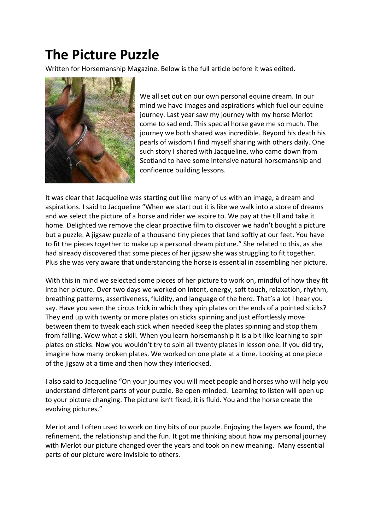## **The Picture Puzzle**

Written for Horsemanship Magazine. Below is the full article before it was edited.



We all set out on our own personal equine dream. In our mind we have images and aspirations which fuel our equine journey. Last year saw my journey with my horse Merlot come to sad end. This special horse gave me so much. The journey we both shared was incredible. Beyond his death his pearls of wisdom I find myself sharing with others daily. One such story I shared with Jacqueline, who came down from Scotland to have some intensive natural horsemanship and confidence building lessons.

It was clear that Jacqueline was starting out like many of us with an image, a dream and aspirations. I said to Jacqueline "When we start out it is like we walk into a store of dreams and we select the picture of a horse and rider we aspire to. We pay at the till and take it home. Delighted we remove the clear proactive film to discover we hadn't bought a picture but a puzzle. A jigsaw puzzle of a thousand tiny pieces that land softly at our feet. You have to fit the pieces together to make up a personal dream picture." She related to this, as she had already discovered that some pieces of her jigsaw she was struggling to fit together. Plus she was very aware that understanding the horse is essential in assembling her picture.

With this in mind we selected some pieces of her picture to work on, mindful of how they fit into her picture. Over two days we worked on intent, energy, soft touch, relaxation, rhythm, breathing patterns, assertiveness, fluidity, and language of the herd. That's a lot I hear you say. Have you seen the circus trick in which they spin plates on the ends of a pointed sticks? They end up with twenty or more plates on sticks spinning and just effortlessly move between them to tweak each stick when needed keep the plates spinning and stop them from falling. Wow what a skill. When you learn horsemanship it is a bit like learning to spin plates on sticks. Now you wouldn't try to spin all twenty plates in lesson one. If you did try, imagine how many broken plates. We worked on one plate at a time. Looking at one piece of the jigsaw at a time and then how they interlocked.

I also said to Jacqueline "On your journey you will meet people and horses who will help you understand different parts of your puzzle. Be open-minded. Learning to listen will open up to your picture changing. The picture isn't fixed, it is fluid. You and the horse create the evolving pictures."

Merlot and I often used to work on tiny bits of our puzzle. Enjoying the layers we found, the refinement, the relationship and the fun. It got me thinking about how my personal journey with Merlot our picture changed over the years and took on new meaning. Many essential parts of our picture were invisible to others.